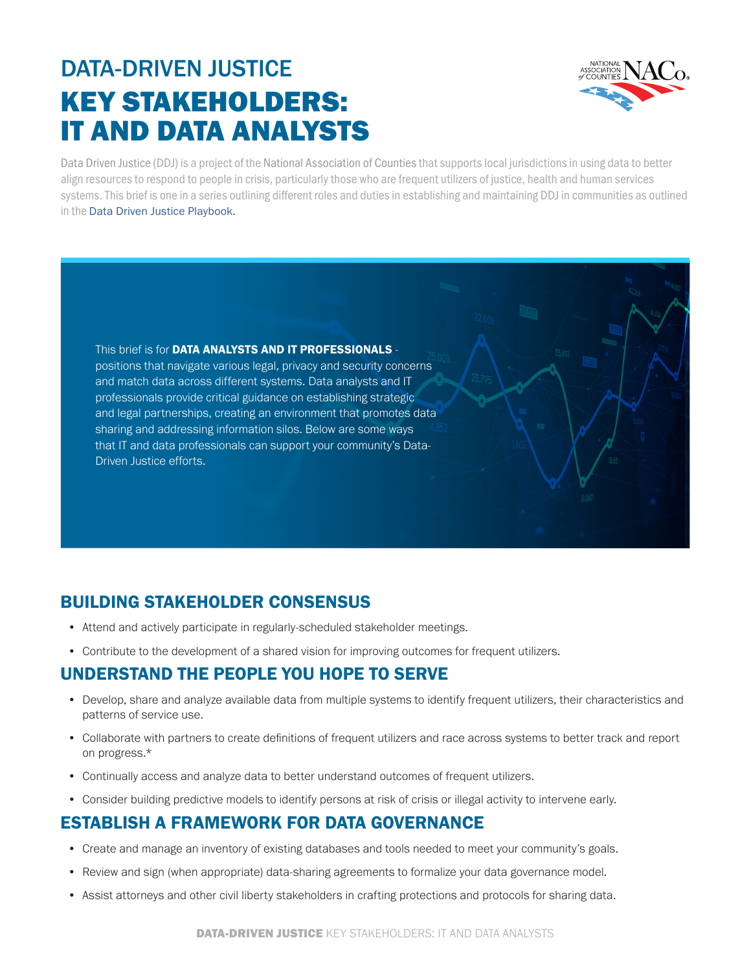# DATA-DRIVEN JUSTICE KEY STAKEHOLDERS: IT AND DATA ANALYSTS



Data Driven Justice (DDJ) is a project of the National Association of Counties that supports local jurisdictions in using data to better align resources to respond to people in crisis, particularly those who are frequent utilizers of justice, health and human services systems. This brief is one in a series outlining different roles and duties in establishing and maintaining DDJ in communities as outlined in the [Data Driven Justice Playbook.](https://craftmediabucket.s3.amazonaws.com/uploads/DDJPlaybook.pdf)

This brief is for DATA ANALYSTS AND IT PROFESSIONALS positions that navigate various legal, privacy and security concerns and match data across different systems. Data analysts and IT professionals provide critical guidance on establishing strategic and legal partnerships, creating an environment that promotes data sharing and addressing information silos. Below are some ways that IT and data professionals can support your community's Data-Driven Justice efforts.

## BUILDING STAKEHOLDER CONSENSUS

- Attend and actively participate in regularly-scheduled stakeholder meetings.
- Contribute to the development of a shared vision for improving outcomes for frequent utilizers.

#### UNDERSTAND THE PEOPLE YOU HOPE TO SERVE

- Develop, share and analyze available data from multiple systems to identify frequent utilizers, their characteristics and patterns of service use.
- Collaborate with partners to create definitions of frequent utilizers and race across systems to better track and report on progress.\*
- Continually access and analyze data to better understand outcomes of frequent utilizers.
- Consider building predictive models to identify persons at risk of crisis or illegal activity to intervene early.

## ESTABLISH A FRAMEWORK FOR DATA GOVERNANCE

- Create and manage an inventory of existing databases and tools needed to meet your community's goals.
- Review and sign (when appropriate) data-sharing agreements to formalize your data governance model.
- Assist attorneys and other civil liberty stakeholders in crafting protections and protocols for sharing data.